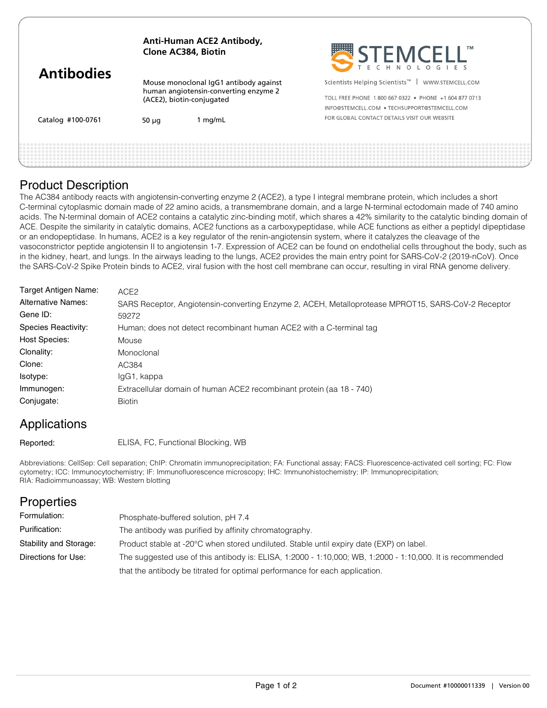| <b>Antibodies</b> | Anti-Human ACE2 Antibody,<br>Clone AC384, Biotin                                                             |         | STEMCELL"                                                                                                                 |
|-------------------|--------------------------------------------------------------------------------------------------------------|---------|---------------------------------------------------------------------------------------------------------------------------|
|                   | Mouse monoclonal IgG1 antibody against<br>human angiotensin-converting enzyme 2<br>(ACE2), biotin-conjugated |         | Scientists Helping Scientists <sup>™</sup>  <br>WWW.STEMCELL.COM<br>TOLL FREE PHONE 1800 667 0322 · PHONE +1 604 877 0713 |
|                   |                                                                                                              |         | INFO@STEMCELL.COM . TECHSUPPORT@STEMCELL.COM                                                                              |
| Catalog #100-0761 | 50 $\mu$ q                                                                                                   | 1 mg/mL | FOR GLOBAL CONTACT DETAILS VISIT OUR WEBSITE                                                                              |
|                   |                                                                                                              |         |                                                                                                                           |
|                   |                                                                                                              |         |                                                                                                                           |

## Product Description

The AC384 antibody reacts with angiotensin-converting enzyme 2 (ACE2), a type I integral membrane protein, which includes a short C-terminal cytoplasmic domain made of 22 amino acids, a transmembrane domain, and a large N-terminal ectodomain made of 740 amino acids. The N-terminal domain of ACE2 contains a catalytic zinc-binding motif, which shares a 42% similarity to the catalytic binding domain of ACE. Despite the similarity in catalytic domains, ACE2 functions as a carboxypeptidase, while ACE functions as either a peptidyl dipeptidase or an endopeptidase. In humans, ACE2 is a key regulator of the renin-angiotensin system, where it catalyzes the cleavage of the vasoconstrictor peptide angiotensin II to angiotensin 1-7. Expression of ACE2 can be found on endothelial cells throughout the body, such as in the kidney, heart, and lungs. In the airways leading to the lungs, ACE2 provides the main entry point for SARS-CoV-2 (2019-nCoV). Once the SARS-CoV-2 Spike Protein binds to ACE2, viral fusion with the host cell membrane can occur, resulting in viral RNA genome delivery.

| Target Antigen Name:      | ACE <sub>2</sub>                                                                                   |
|---------------------------|----------------------------------------------------------------------------------------------------|
| <b>Alternative Names:</b> | SARS Receptor, Angiotensin-converting Enzyme 2, ACEH, Metalloprotease MPROT15, SARS-CoV-2 Receptor |
| Gene ID:                  | 59272                                                                                              |
| Species Reactivity:       | Human; does not detect recombinant human ACE2 with a C-terminal tag                                |
| <b>Host Species:</b>      | Mouse                                                                                              |
| Clonality:                | Monoclonal                                                                                         |
| Clone:                    | AC384                                                                                              |
| Isotype:                  | IgG1, kappa                                                                                        |
| Immunogen:                | Extracellular domain of human ACE2 recombinant protein (aa 18 - 740)                               |
| Conjugate:                | <b>Biotin</b>                                                                                      |
|                           |                                                                                                    |

## Applications

Reported:

ELISA, FC, Functional Blocking, WB

Abbreviations: CellSep: Cell separation; ChIP: Chromatin immunoprecipitation; FA: Functional assay; FACS: Fluorescence-activated cell sorting; FC: Flow cytometry; ICC: Immunocytochemistry; IF: Immunofluorescence microscopy; IHC: Immunohistochemistry; IP: Immunoprecipitation; RIA: Radioimmunoassay; WB: Western blotting

| <b>Properties</b>      |                                                                                                           |
|------------------------|-----------------------------------------------------------------------------------------------------------|
| Formulation:           | Phosphate-buffered solution, pH 7.4                                                                       |
| Purification:          | The antibody was purified by affinity chromatography.                                                     |
| Stability and Storage: | Product stable at -20°C when stored undiluted. Stable until expiry date (EXP) on label.                   |
| Directions for Use:    | The suggested use of this antibody is: ELISA, 1:2000 - 1:10,000; WB, 1:2000 - 1:10,000. It is recommended |
|                        | that the antibody be titrated for optimal performance for each application.                               |